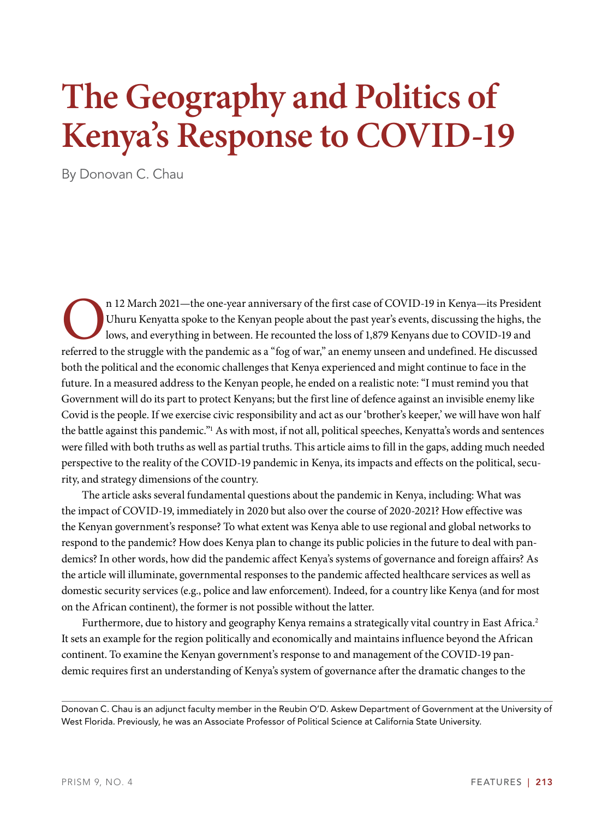# **The Geography and Politics of Kenya's Response to COVID-19**

By Donovan C. Chau

On 12 March 2021—the one-year anniversary of the first case of COVID-19 in Kenya—its President Uhuru Kenyatta spoke to the Kenyan people about the past year's events, discussing the highs, the lows, and everything in betwe Uhuru Kenyatta spoke to the Kenyan people about the past year's events, discussing the highs, the lows, and everything in between. He recounted the loss of 1,879 Kenyans due to COVID-19 and both the political and the economic challenges that Kenya experienced and might continue to face in the future. In a measured address to the Kenyan people, he ended on a realistic note: "I must remind you that Government will do its part to protect Kenyans; but the first line of defence against an invisible enemy like Covid is the people. If we exercise civic responsibility and act as our 'brother's keeper,' we will have won half the battle against this pandemic."<sup>1</sup> As with most, if not all, political speeches, Kenyatta's words and sentences were filled with both truths as well as partial truths. This article aims to fill in the gaps, adding much needed perspective to the reality of the COVID-19 pandemic in Kenya, its impacts and effects on the political, security, and strategy dimensions of the country.

The article asks several fundamental questions about the pandemic in Kenya, including: What was the impact of COVID-19, immediately in 2020 but also over the course of 2020-2021? How effective was the Kenyan government's response? To what extent was Kenya able to use regional and global networks to respond to the pandemic? How does Kenya plan to change its public policies in the future to deal with pandemics? In other words, how did the pandemic affect Kenya's systems of governance and foreign affairs? As the article will illuminate, governmental responses to the pandemic affected healthcare services as well as domestic security services (e.g., police and law enforcement). Indeed, for a country like Kenya (and for most on the African continent), the former is not possible without the latter.

Furthermore, due to history and geography Kenya remains a strategically vital country in East Africa.<sup>2</sup> It sets an example for the region politically and economically and maintains influence beyond the African continent. To examine the Kenyan government's response to and management of the COVID-19 pandemic requires first an understanding of Kenya's system of governance after the dramatic changes to the

Donovan C. Chau is an adjunct faculty member in the Reubin O'D. Askew Department of Government at the University of West Florida. Previously, he was an Associate Professor of Political Science at California State University.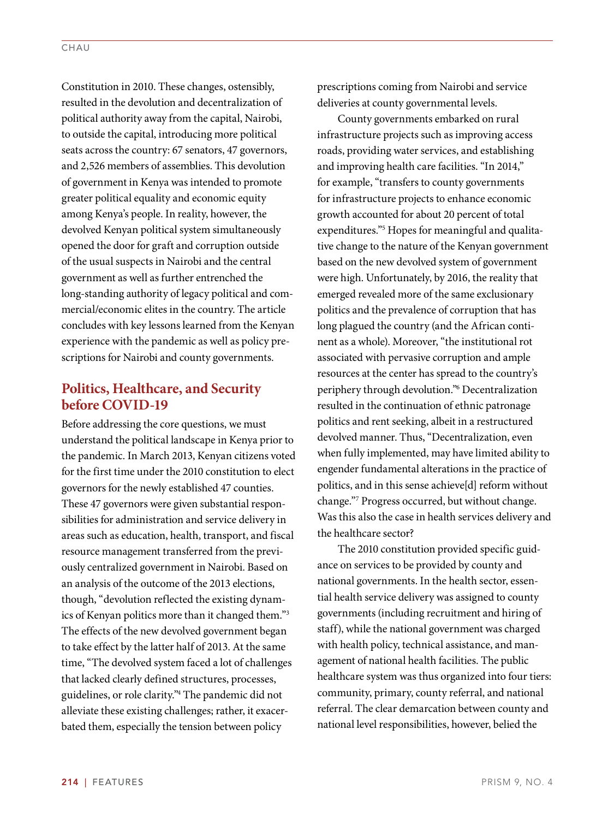Constitution in 2010. These changes, ostensibly, resulted in the devolution and decentralization of political authority away from the capital, Nairobi, to outside the capital, introducing more political seats across the country: 67 senators, 47 governors, and 2,526 members of assemblies. This devolution of government in Kenya was intended to promote greater political equality and economic equity among Kenya's people. In reality, however, the devolved Kenyan political system simultaneously opened the door for graft and corruption outside of the usual suspects in Nairobi and the central government as well as further entrenched the long-standing authority of legacy political and commercial/economic elites in the country. The article concludes with key lessons learned from the Kenyan experience with the pandemic as well as policy prescriptions for Nairobi and county governments.

### **Politics, Healthcare, and Security before COVID-19**

Before addressing the core questions, we must understand the political landscape in Kenya prior to the pandemic. In March 2013, Kenyan citizens voted for the first time under the 2010 constitution to elect governors for the newly established 47 counties. These 47 governors were given substantial responsibilities for administration and service delivery in areas such as education, health, transport, and fiscal resource management transferred from the previously centralized government in Nairobi. Based on an analysis of the outcome of the 2013 elections, though, "devolution reflected the existing dynamics of Kenyan politics more than it changed them."3 The effects of the new devolved government began to take effect by the latter half of 2013. At the same time, "The devolved system faced a lot of challenges that lacked clearly defined structures, processes, guidelines, or role clarity."4 The pandemic did not alleviate these existing challenges; rather, it exacerbated them, especially the tension between policy

prescriptions coming from Nairobi and service deliveries at county governmental levels.

County governments embarked on rural infrastructure projects such as improving access roads, providing water services, and establishing and improving health care facilities. "In 2014," for example, "transfers to county governments for infrastructure projects to enhance economic growth accounted for about 20 percent of total expenditures."5 Hopes for meaningful and qualitative change to the nature of the Kenyan government based on the new devolved system of government were high. Unfortunately, by 2016, the reality that emerged revealed more of the same exclusionary politics and the prevalence of corruption that has long plagued the country (and the African continent as a whole). Moreover, "the institutional rot associated with pervasive corruption and ample resources at the center has spread to the country's periphery through devolution."6 Decentralization resulted in the continuation of ethnic patronage politics and rent seeking, albeit in a restructured devolved manner. Thus, "Decentralization, even when fully implemented, may have limited ability to engender fundamental alterations in the practice of politics, and in this sense achieve[d] reform without change."7 Progress occurred, but without change. Was this also the case in health services delivery and the healthcare sector?

The 2010 constitution provided specific guidance on services to be provided by county and national governments. In the health sector, essential health service delivery was assigned to county governments (including recruitment and hiring of staff), while the national government was charged with health policy, technical assistance, and management of national health facilities. The public healthcare system was thus organized into four tiers: community, primary, county referral, and national referral. The clear demarcation between county and national level responsibilities, however, belied the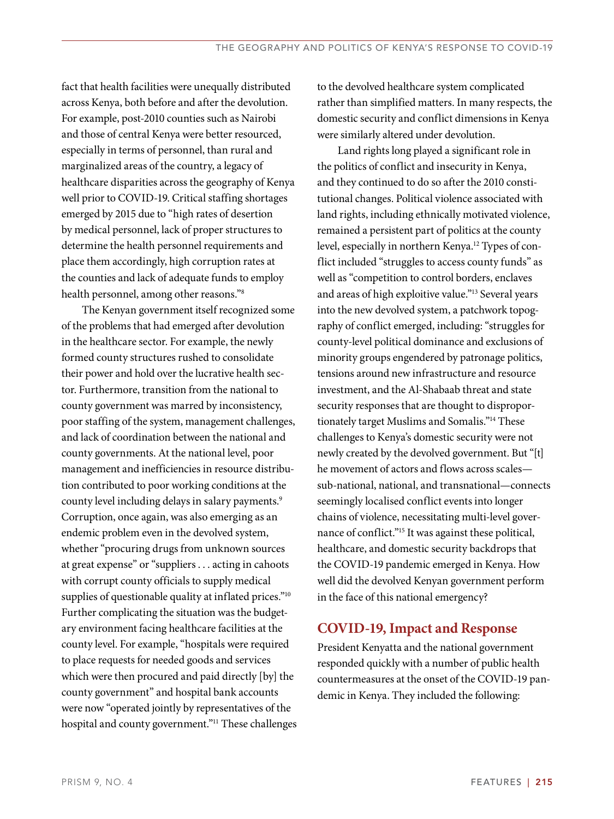fact that health facilities were unequally distributed across Kenya, both before and after the devolution. For example, post-2010 counties such as Nairobi and those of central Kenya were better resourced, especially in terms of personnel, than rural and marginalized areas of the country, a legacy of healthcare disparities across the geography of Kenya well prior to COVID-19. Critical staffing shortages emerged by 2015 due to "high rates of desertion by medical personnel, lack of proper structures to determine the health personnel requirements and place them accordingly, high corruption rates at the counties and lack of adequate funds to employ health personnel, among other reasons."8

The Kenyan government itself recognized some of the problems that had emerged after devolution in the healthcare sector. For example, the newly formed county structures rushed to consolidate their power and hold over the lucrative health sector. Furthermore, transition from the national to county government was marred by inconsistency, poor staffing of the system, management challenges, and lack of coordination between the national and county governments. At the national level, poor management and inefficiencies in resource distribution contributed to poor working conditions at the county level including delays in salary payments.<sup>9</sup> Corruption, once again, was also emerging as an endemic problem even in the devolved system, whether "procuring drugs from unknown sources at great expense" or "suppliers . . . acting in cahoots with corrupt county officials to supply medical supplies of questionable quality at inflated prices."<sup>10</sup> Further complicating the situation was the budgetary environment facing healthcare facilities at the county level. For example, "hospitals were required to place requests for needed goods and services which were then procured and paid directly [by] the county government" and hospital bank accounts were now "operated jointly by representatives of the hospital and county government."<sup>11</sup> These challenges to the devolved healthcare system complicated rather than simplified matters. In many respects, the domestic security and conflict dimensions in Kenya were similarly altered under devolution.

Land rights long played a significant role in the politics of conflict and insecurity in Kenya, and they continued to do so after the 2010 constitutional changes. Political violence associated with land rights, including ethnically motivated violence, remained a persistent part of politics at the county level, especially in northern Kenya.<sup>12</sup> Types of conflict included "struggles to access county funds" as well as "competition to control borders, enclaves and areas of high exploitive value."13 Several years into the new devolved system, a patchwork topography of conflict emerged, including: "struggles for county-level political dominance and exclusions of minority groups engendered by patronage politics, tensions around new infrastructure and resource investment, and the Al-Shabaab threat and state security responses that are thought to disproportionately target Muslims and Somalis."14 These challenges to Kenya's domestic security were not newly created by the devolved government. But "[t] he movement of actors and flows across scales sub-national, national, and transnational—connects seemingly localised conflict events into longer chains of violence, necessitating multi-level governance of conflict."15 It was against these political, healthcare, and domestic security backdrops that the COVID-19 pandemic emerged in Kenya. How well did the devolved Kenyan government perform in the face of this national emergency?

#### **COVID-19, Impact and Response**

President Kenyatta and the national government responded quickly with a number of public health countermeasures at the onset of the COVID-19 pandemic in Kenya. They included the following: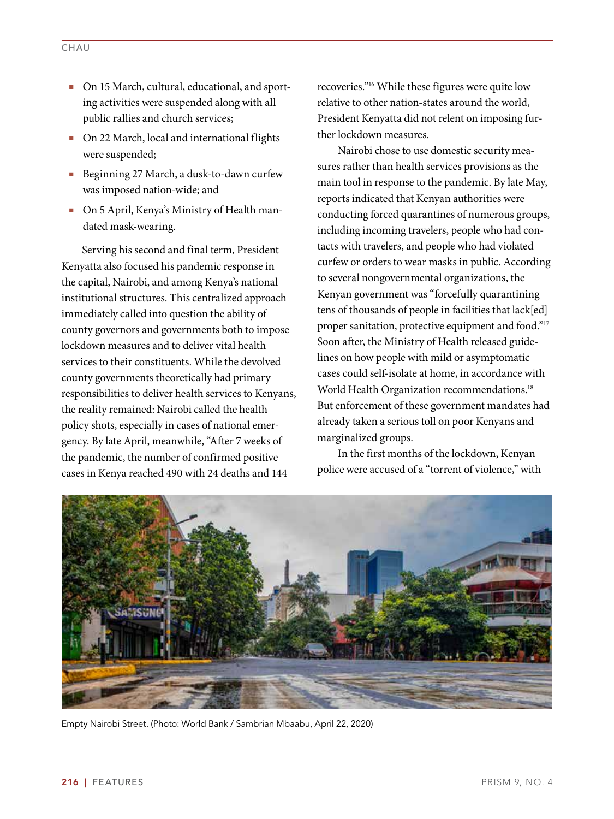- On 15 March, cultural, educational, and sporting activities were suspended along with all public rallies and church services;
- On 22 March, local and international flights were suspended;
- Beginning 27 March, a dusk-to-dawn curfew was imposed nation-wide; and
- On 5 April, Kenya's Ministry of Health mandated mask-wearing.

Serving his second and final term, President Kenyatta also focused his pandemic response in the capital, Nairobi, and among Kenya's national institutional structures. This centralized approach immediately called into question the ability of county governors and governments both to impose lockdown measures and to deliver vital health services to their constituents. While the devolved county governments theoretically had primary responsibilities to deliver health services to Kenyans, the reality remained: Nairobi called the health policy shots, especially in cases of national emergency. By late April, meanwhile, "After 7 weeks of the pandemic, the number of confirmed positive cases in Kenya reached 490 with 24 deaths and 144

recoveries."16 While these figures were quite low relative to other nation-states around the world, President Kenyatta did not relent on imposing further lockdown measures.

Nairobi chose to use domestic security measures rather than health services provisions as the main tool in response to the pandemic. By late May, reports indicated that Kenyan authorities were conducting forced quarantines of numerous groups, including incoming travelers, people who had contacts with travelers, and people who had violated curfew or orders to wear masks in public. According to several nongovernmental organizations, the Kenyan government was "forcefully quarantining tens of thousands of people in facilities that lack[ed] proper sanitation, protective equipment and food."<sup>17</sup> Soon after, the Ministry of Health released guidelines on how people with mild or asymptomatic cases could self-isolate at home, in accordance with World Health Organization recommendations.<sup>18</sup> But enforcement of these government mandates had already taken a serious toll on poor Kenyans and marginalized groups.

In the first months of the lockdown, Kenyan police were accused of a "torrent of violence," with



Empty Nairobi Street. (Photo: World Bank / Sambrian Mbaabu, April 22, 2020)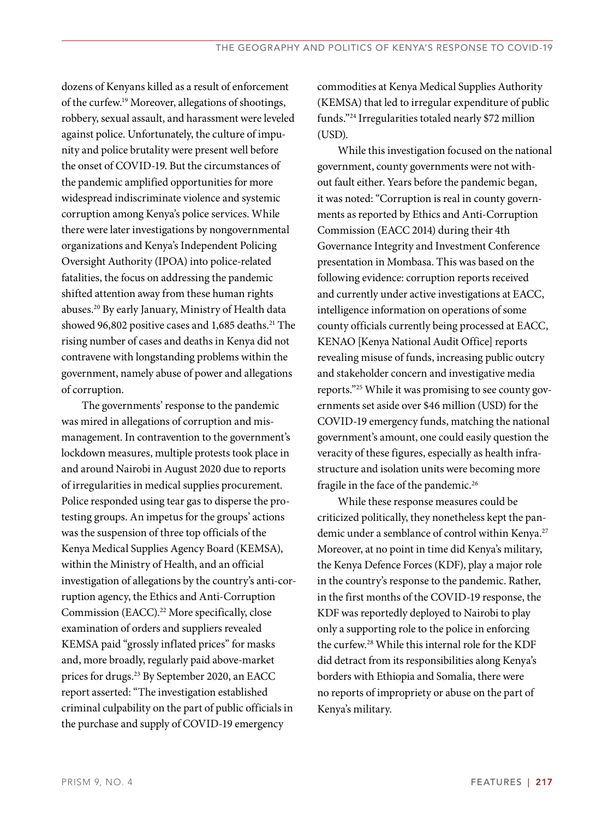dozens of Kenyans killed as a result of enforcement of the curfew.19 Moreover, allegations of shootings, robbery, sexual assault, and harassment were leveled against police. Unfortunately, the culture of impunity and police brutality were present well before the onset of COVID-19. But the circumstances of the pandemic amplified opportunities for more widespread indiscriminate violence and systemic corruption among Kenya's police services. While there were later investigations by nongovernmental organizations and Kenya's Independent Policing Oversight Authority (IPOA) into police-related fatalities, the focus on addressing the pandemic shifted attention away from these human rights abuses.20 By early January, Ministry of Health data showed 96,802 positive cases and 1,685 deaths.<sup>21</sup> The rising number of cases and deaths in Kenya did not contravene with longstanding problems within the government, namely abuse of power and allegations of corruption.

The governments' response to the pandemic was mired in allegations of corruption and mismanagement. In contravention to the government's lockdown measures, multiple protests took place in and around Nairobi in August 2020 due to reports of irregularities in medical supplies procurement. Police responded using tear gas to disperse the protesting groups. An impetus for the groups' actions was the suspension of three top officials of the Kenya Medical Supplies Agency Board (KEMSA), within the Ministry of Health, and an official investigation of allegations by the country's anti-corruption agency, the Ethics and Anti-Corruption Commission (EACC).<sup>22</sup> More specifically, close examination of orders and suppliers revealed KEMSA paid "grossly inflated prices" for masks and, more broadly, regularly paid above-market prices for drugs.23 By September 2020, an EACC report asserted: "The investigation established criminal culpability on the part of public officials in the purchase and supply of COVID-19 emergency

commodities at Kenya Medical Supplies Authority (KEMSA) that led to irregular expenditure of public funds."24 Irregularities totaled nearly \$72 million (USD).

While this investigation focused on the national government, county governments were not without fault either. Years before the pandemic began, it was noted: "Corruption is real in county governments as reported by Ethics and Anti-Corruption Commission (EACC 2014) during their 4th Governance Integrity and Investment Conference presentation in Mombasa. This was based on the following evidence: corruption reports received and currently under active investigations at EACC, intelligence information on operations of some county officials currently being processed at EACC, KENAO [Kenya National Audit Office] reports revealing misuse of funds, increasing public outcry and stakeholder concern and investigative media reports."25 While it was promising to see county governments set aside over \$46 million (USD) for the COVID-19 emergency funds, matching the national government's amount, one could easily question the veracity of these figures, especially as health infrastructure and isolation units were becoming more fragile in the face of the pandemic.<sup>26</sup>

While these response measures could be criticized politically, they nonetheless kept the pandemic under a semblance of control within Kenya.<sup>27</sup> Moreover, at no point in time did Kenya's military, the Kenya Defence Forces (KDF), play a major role in the country's response to the pandemic. Rather, in the first months of the COVID-19 response, the KDF was reportedly deployed to Nairobi to play only a supporting role to the police in enforcing the curfew.28 While this internal role for the KDF did detract from its responsibilities along Kenya's borders with Ethiopia and Somalia, there were no reports of impropriety or abuse on the part of Kenya's military.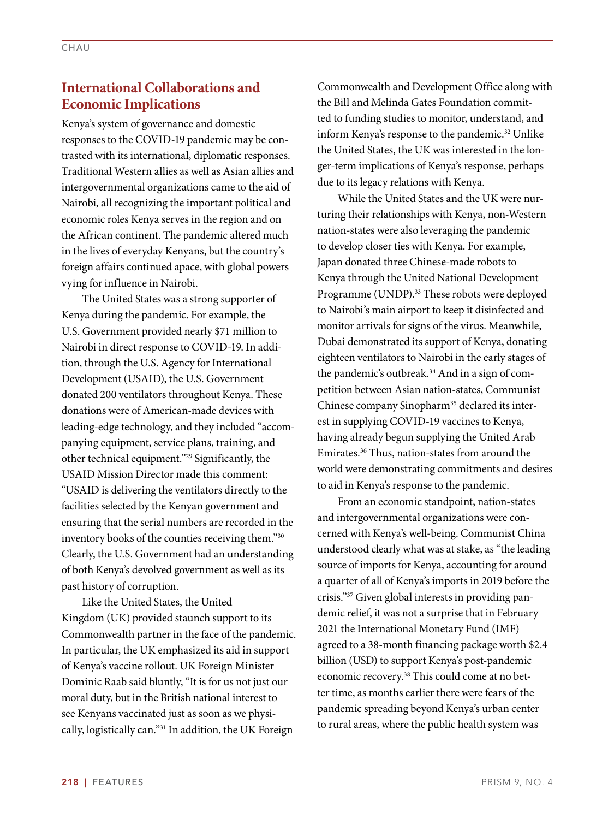### **International Collaborations and Economic Implications**

Kenya's system of governance and domestic responses to the COVID-19 pandemic may be contrasted with its international, diplomatic responses. Traditional Western allies as well as Asian allies and intergovernmental organizations came to the aid of Nairobi, all recognizing the important political and economic roles Kenya serves in the region and on the African continent. The pandemic altered much in the lives of everyday Kenyans, but the country's foreign affairs continued apace, with global powers vying for influence in Nairobi.

The United States was a strong supporter of Kenya during the pandemic. For example, the U.S. Government provided nearly \$71 million to Nairobi in direct response to COVID-19. In addition, through the U.S. Agency for International Development (USAID), the U.S. Government donated 200 ventilators throughout Kenya. These donations were of American-made devices with leading-edge technology, and they included "accompanying equipment, service plans, training, and other technical equipment."29 Significantly, the USAID Mission Director made this comment: "USAID is delivering the ventilators directly to the facilities selected by the Kenyan government and ensuring that the serial numbers are recorded in the inventory books of the counties receiving them."30 Clearly, the U.S. Government had an understanding of both Kenya's devolved government as well as its past history of corruption.

Like the United States, the United Kingdom (UK) provided staunch support to its Commonwealth partner in the face of the pandemic. In particular, the UK emphasized its aid in support of Kenya's vaccine rollout. UK Foreign Minister Dominic Raab said bluntly, "It is for us not just our moral duty, but in the British national interest to see Kenyans vaccinated just as soon as we physically, logistically can."31 In addition, the UK Foreign

Commonwealth and Development Office along with the Bill and Melinda Gates Foundation committed to funding studies to monitor, understand, and inform Kenya's response to the pandemic.32 Unlike the United States, the UK was interested in the longer-term implications of Kenya's response, perhaps due to its legacy relations with Kenya.

While the United States and the UK were nurturing their relationships with Kenya, non-Western nation-states were also leveraging the pandemic to develop closer ties with Kenya. For example, Japan donated three Chinese-made robots to Kenya through the United National Development Programme (UNDP).<sup>33</sup> These robots were deployed to Nairobi's main airport to keep it disinfected and monitor arrivals for signs of the virus. Meanwhile, Dubai demonstrated its support of Kenya, donating eighteen ventilators to Nairobi in the early stages of the pandemic's outbreak.34 And in a sign of competition between Asian nation-states, Communist Chinese company Sinopharm<sup>35</sup> declared its interest in supplying COVID-19 vaccines to Kenya, having already begun supplying the United Arab Emirates.36 Thus, nation-states from around the world were demonstrating commitments and desires to aid in Kenya's response to the pandemic.

From an economic standpoint, nation-states and intergovernmental organizations were concerned with Kenya's well-being. Communist China understood clearly what was at stake, as "the leading source of imports for Kenya, accounting for around a quarter of all of Kenya's imports in 2019 before the crisis."37 Given global interests in providing pandemic relief, it was not a surprise that in February 2021 the International Monetary Fund (IMF) agreed to a 38-month financing package worth \$2.4 billion (USD) to support Kenya's post-pandemic economic recovery.<sup>38</sup> This could come at no better time, as months earlier there were fears of the pandemic spreading beyond Kenya's urban center to rural areas, where the public health system was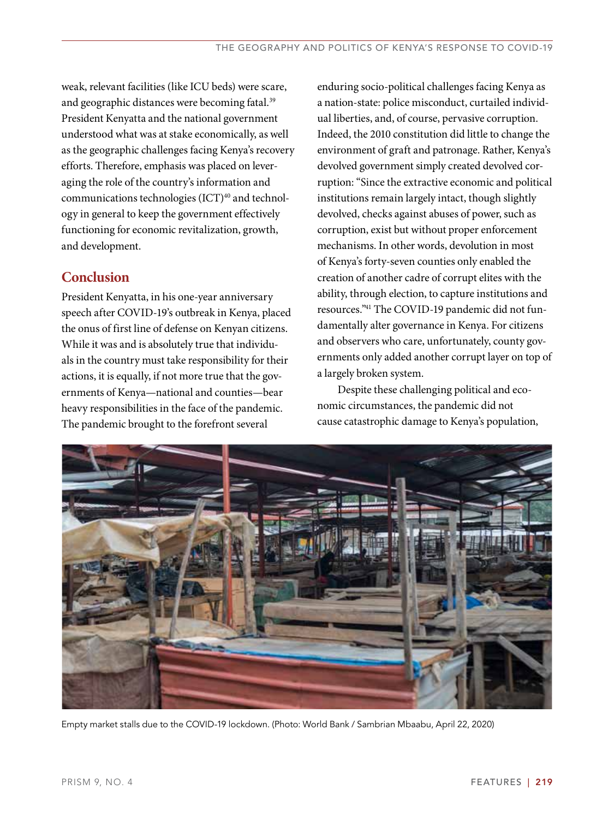weak, relevant facilities (like ICU beds) were scare, and geographic distances were becoming fatal.<sup>39</sup> President Kenyatta and the national government understood what was at stake economically, as well as the geographic challenges facing Kenya's recovery efforts. Therefore, emphasis was placed on leveraging the role of the country's information and communications technologies (ICT)<sup>40</sup> and technology in general to keep the government effectively functioning for economic revitalization, growth, and development.

## **Conclusion**

President Kenyatta, in his one-year anniversary speech after COVID-19's outbreak in Kenya, placed the onus of first line of defense on Kenyan citizens. While it was and is absolutely true that individuals in the country must take responsibility for their actions, it is equally, if not more true that the governments of Kenya—national and counties—bear heavy responsibilities in the face of the pandemic. The pandemic brought to the forefront several

enduring socio-political challenges facing Kenya as a nation-state: police misconduct, curtailed individual liberties, and, of course, pervasive corruption. Indeed, the 2010 constitution did little to change the environment of graft and patronage. Rather, Kenya's devolved government simply created devolved corruption: "Since the extractive economic and political institutions remain largely intact, though slightly devolved, checks against abuses of power, such as corruption, exist but without proper enforcement mechanisms. In other words, devolution in most of Kenya's forty-seven counties only enabled the creation of another cadre of corrupt elites with the ability, through election, to capture institutions and resources."41 The COVID-19 pandemic did not fundamentally alter governance in Kenya. For citizens and observers who care, unfortunately, county governments only added another corrupt layer on top of a largely broken system.

Despite these challenging political and economic circumstances, the pandemic did not cause catastrophic damage to Kenya's population,



Empty market stalls due to the COVID-19 lockdown. (Photo: World Bank / Sambrian Mbaabu, April 22, 2020)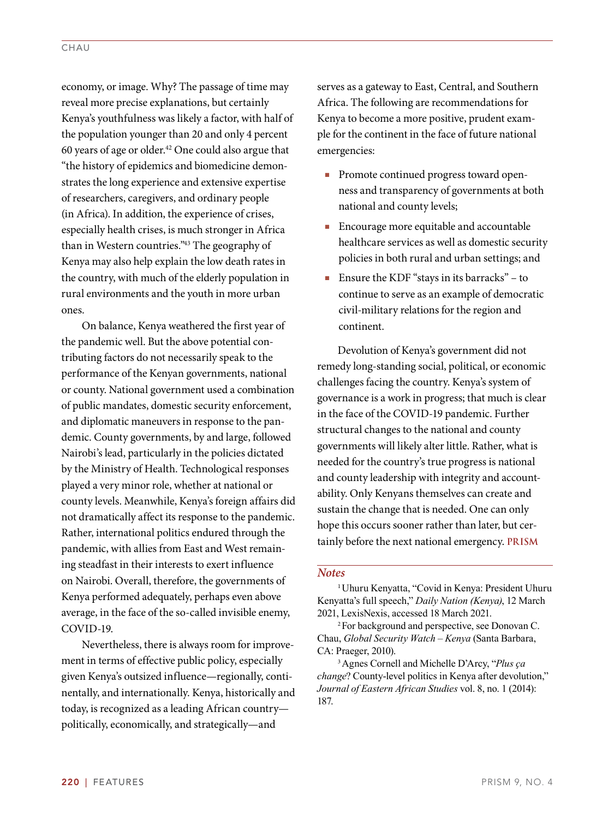economy, or image. Why? The passage of time may reveal more precise explanations, but certainly Kenya's youthfulness was likely a factor, with half of the population younger than 20 and only 4 percent 60 years of age or older.42 One could also argue that "the history of epidemics and biomedicine demonstrates the long experience and extensive expertise of researchers, caregivers, and ordinary people (in Africa). In addition, the experience of crises, especially health crises, is much stronger in Africa than in Western countries."43 The geography of Kenya may also help explain the low death rates in the country, with much of the elderly population in rural environments and the youth in more urban ones.

On balance, Kenya weathered the first year of the pandemic well. But the above potential contributing factors do not necessarily speak to the performance of the Kenyan governments, national or county. National government used a combination of public mandates, domestic security enforcement, and diplomatic maneuvers in response to the pandemic. County governments, by and large, followed Nairobi's lead, particularly in the policies dictated by the Ministry of Health. Technological responses played a very minor role, whether at national or county levels. Meanwhile, Kenya's foreign affairs did not dramatically affect its response to the pandemic. Rather, international politics endured through the pandemic, with allies from East and West remaining steadfast in their interests to exert influence on Nairobi. Overall, therefore, the governments of Kenya performed adequately, perhaps even above average, in the face of the so-called invisible enemy, COVID-19.

Nevertheless, there is always room for improvement in terms of effective public policy, especially given Kenya's outsized influence—regionally, continentally, and internationally. Kenya, historically and today, is recognized as a leading African country politically, economically, and strategically—and

serves as a gateway to East, Central, and Southern Africa. The following are recommendations for Kenya to become a more positive, prudent example for the continent in the face of future national emergencies:

- Promote continued progress toward openness and transparency of governments at both national and county levels;
- Encourage more equitable and accountable healthcare services as well as domestic security policies in both rural and urban settings; and
- Ensure the KDF "stays in its barracks" to continue to serve as an example of democratic civil-military relations for the region and continent.

Devolution of Kenya's government did not remedy long-standing social, political, or economic challenges facing the country. Kenya's system of governance is a work in progress; that much is clear in the face of the COVID-19 pandemic. Further structural changes to the national and county governments will likely alter little. Rather, what is needed for the country's true progress is national and county leadership with integrity and accountability. Only Kenyans themselves can create and sustain the change that is needed. One can only hope this occurs sooner rather than later, but certainly before the next national emergency. **PRISM**

#### *Notes*

<sup>1</sup>Uhuru Kenyatta, "Covid in Kenya: President Uhuru Kenyatta's full speech," *Daily Nation (Kenya)*, 12 March 2021, LexisNexis, accessed 18 March 2021.

<sup>2</sup>For background and perspective, see Donovan C. Chau, *Global Security Watch – Kenya* (Santa Barbara, CA: Praeger, 2010).

<sup>3</sup>Agnes Cornell and Michelle D'Arcy, "*Plus ҫa change*? County-level politics in Kenya after devolution," *Journal of Eastern African Studies* vol. 8, no. 1 (2014): 187.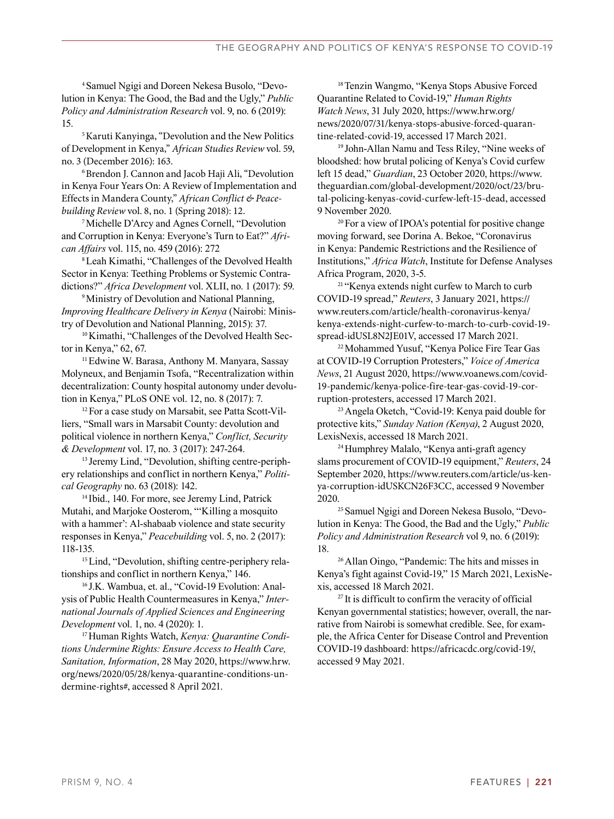4Samuel Ngigi and Doreen Nekesa Busolo, "Devolution in Kenya: The Good, the Bad and the Ugly," *Public Policy and Administration Research* vol. 9, no. 6 (2019): 15.

5 Karuti Kanyinga, "Devolution and the New Politics of Development in Kenya," *African Studies Review* vol. 59, no. 3 (December 2016): 163.

6 Brendon J. Cannon and Jacob Haji Ali, "Devolution in Kenya Four Years On: A Review of Implementation and Effects in Mandera County," *African Conflict & Peacebuilding Review* vol. 8, no. 1 (Spring 2018): 12.

<sup>7</sup>Michelle D'Arcy and Agnes Cornell, "Devolution and Corruption in Kenya: Everyone's Turn to Eat?" *African Affairs* vol. 115, no. 459 (2016): 272

<sup>8</sup>Leah Kimathi, "Challenges of the Devolved Health Sector in Kenya: Teething Problems or Systemic Contradictions?" *Africa Development* vol. XLII, no. 1 (2017): 59.

<sup>9</sup> Ministry of Devolution and National Planning, *Improving Healthcare Delivery in Kenya* (Nairobi: Ministry of Devolution and National Planning, 2015): 37.

<sup>10</sup>Kimathi, "Challenges of the Devolved Health Sector in Kenya," 62, 67.

<sup>11</sup>Edwine W. Barasa, Anthony M. Manyara, Sassay Molyneux, and Benjamin Tsofa, "Recentralization within decentralization: County hospital autonomy under devolution in Kenya," PLoS ONE vol. 12, no. 8 (2017): 7.

12For a case study on Marsabit, see Patta Scott-Villiers, "Small wars in Marsabit County: devolution and political violence in northern Kenya," *Conflict, Security & Development* vol. 17, no. 3 (2017): 247-264.

<sup>13</sup> Jeremy Lind, "Devolution, shifting centre-periphery relationships and conflict in northern Kenya," *Political Geography* no. 63 (2018): 142.

<sup>14</sup> Ibid., 140. For more, see Jeremy Lind, Patrick Mutahi, and Marjoke Oosterom, "'Killing a mosquito with a hammer': Al-shabaab violence and state security responses in Kenya," *Peacebuilding* vol. 5, no. 2 (2017): 118-135.

<sup>15</sup> Lind, "Devolution, shifting centre-periphery relationships and conflict in northern Kenya," 146.

<sup>16</sup> J.K. Wambua, et. al., "Covid-19 Evolution: Analysis of Public Health Countermeasures in Kenya," *International Journals of Applied Sciences and Engineering Development* vol. 1, no. 4 (2020): 1.

17Human Rights Watch, *Kenya: Quarantine Conditions Undermine Rights: Ensure Access to Health Care, Sanitation, Information*, 28 May 2020, https://www.hrw. org/news/2020/05/28/kenya-quarantine-conditions-undermine-rights#, accessed 8 April 2021.

<sup>18</sup>Tenzin Wangmo, "Kenya Stops Abusive Forced Quarantine Related to Covid-19," *Human Rights Watch News*, 31 July 2020, https://www.hrw.org/ news/2020/07/31/kenya-stops-abusive-forced-quarantine-related-covid-19, accessed 17 March 2021.

<sup>19</sup> John-Allan Namu and Tess Riley, "Nine weeks of bloodshed: how brutal policing of Kenya's Covid curfew left 15 dead," *Guardian*, 23 October 2020, https://www. theguardian.com/global-development/2020/oct/23/brutal-policing-kenyas-covid-curfew-left-15-dead, accessed 9 November 2020.

<sup>20</sup>For a view of IPOA's potential for positive change moving forward, see Dorina A. Bekoe, "Coronavirus in Kenya: Pandemic Restrictions and the Resilience of Institutions," *Africa Watch*, Institute for Defense Analyses Africa Program, 2020, 3-5.

<sup>21</sup> "Kenya extends night curfew to March to curb COVID-19 spread," *Reuters*, 3 January 2021, https:// www.reuters.com/article/health-coronavirus-kenya/ kenya-extends-night-curfew-to-march-to-curb-covid-19 spread-idUSL8N2JE01V, accessed 17 March 2021.

<sup>22</sup>Mohammed Yusuf, "Kenya Police Fire Tear Gas at COVID-19 Corruption Protesters," *Voice of America News*, 21 August 2020, https://www.voanews.com/covid-19-pandemic/kenya-police-fire-tear-gas-covid-19-corruption-protesters, accessed 17 March 2021.

<sup>23</sup>Angela Oketch, "Covid-19: Kenya paid double for protective kits," *Sunday Nation (Kenya)*, 2 August 2020, LexisNexis, accessed 18 March 2021.

<sup>24</sup>Humphrey Malalo, "Kenya anti-graft agency slams procurement of COVID-19 equipment," *Reuters*, 24 September 2020, https://www.reuters.com/article/us-kenya-corruption-idUSKCN26F3CC, accessed 9 November 2020.

<sup>25</sup> Samuel Ngigi and Doreen Nekesa Busolo, "Devolution in Kenya: The Good, the Bad and the Ugly," *Public Policy and Administration Research* vol 9, no. 6 (2019): 18.

<sup>26</sup>Allan Oingo, "Pandemic: The hits and misses in Kenya's fight against Covid-19," 15 March 2021, LexisNexis, accessed 18 March 2021.

<sup>27</sup> It is difficult to confirm the veracity of official Kenyan governmental statistics; however, overall, the narrative from Nairobi is somewhat credible. See, for example, the Africa Center for Disease Control and Prevention COVID-19 dashboard: https://africacdc.org/covid-19/, accessed 9 May 2021.